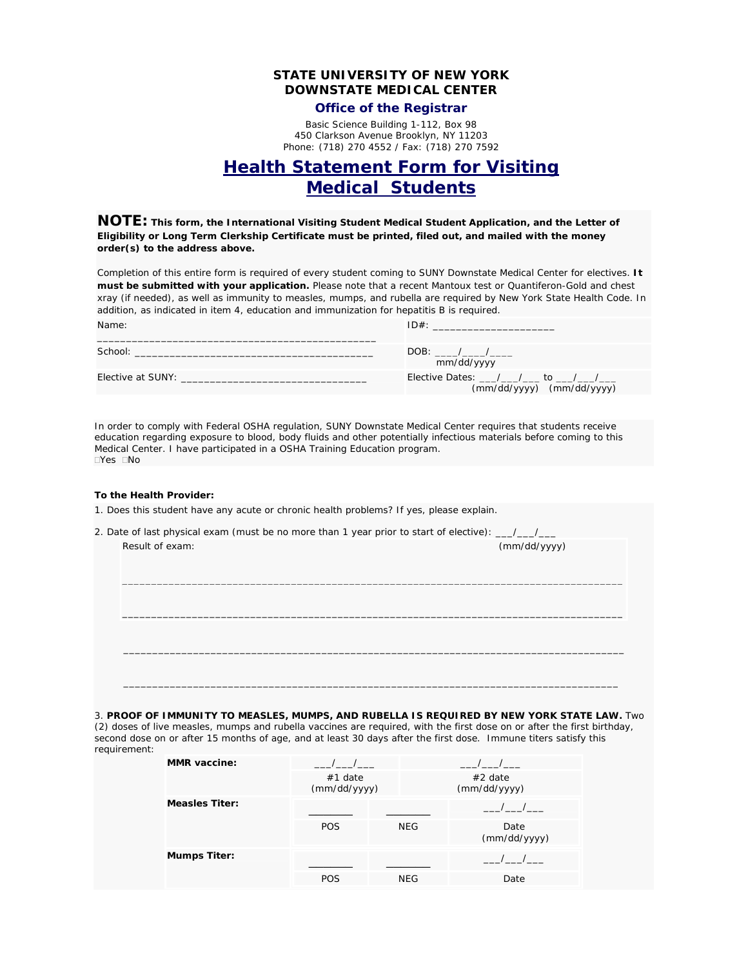## **STATE UNIVERSITY OF NEW YORK DOWNSTATE MEDICAL CENTER**

### **Office of the Registrar**

Basic Science Building 1-112, Box 98 450 Clarkson Avenue Brooklyn, NY 11203 Phone: (718) 270 4552 / Fax: (718) 270 7592

# **Health Statement Form for Visiting Medical Students**

**NOTE: This form, the International Visiting Student Medical Student Application, and the Letter of Eligibility or Long Term Clerkship Certificate must be printed, filed out, and mailed with the money order(s) to the address above.** 

Completion of this entire form is required of every student coming to SUNY Downstate Medical Center for electives. *It must be submitted with your application.* Please note that a recent Mantoux test or Quantiferon-Gold and chest xray (if needed), as well as immunity to measles, mumps, and rubella are required by New York State Health Code. In addition, as indicated in item 4, education and immunization for hepatitis B is required.

| Name:             | $ID#$ :                                                                                       |
|-------------------|-----------------------------------------------------------------------------------------------|
| School:           | mm/dd/yyyy                                                                                    |
| Elective at SUNY: | Elective Dates: $\frac{1}{\sqrt{2}}$ / _____ to _____/ _____<br>$(mm/dd/yyyy)$ $(mm/dd/yyyy)$ |
|                   |                                                                                               |

In order to comply with Federal OSHA regulation, SUNY Downstate Medical Center requires that students receive education regarding exposure to blood, body fluids and other potentially infectious materials before coming to this Medical Center. I have participated in a OSHA Training Education program.  $\Box$ Yes  $\Box$ No

#### **To the Health Provider:**

- 1. Does this student have any acute or chronic health problems? If yes, please explain.
- 2. Date of last physical exam (must be no more than 1 year prior to start of elective):  $\frac{1}{2}$ Result of exam: (mm/dd/yyyy)

3. **PROOF OF IMMUNITY TO MEASLES, MUMPS, AND RUBELLA IS REQUIRED BY NEW YORK STATE LAW.** Two (2) doses of live measles, mumps and rubella vaccines are required, with the first dose on or after the first birthday, second dose on or after 15 months of age, and at least 30 days after the first dose. Immune titers satisfy this requirement:

\_\_\_\_\_\_\_\_\_\_\_\_\_\_\_\_\_\_\_\_\_\_\_\_\_\_\_\_\_\_\_\_\_\_\_\_\_\_\_\_\_\_\_\_\_\_\_\_\_\_\_\_\_\_\_\_\_\_\_\_\_\_\_\_\_\_\_\_\_\_\_\_\_\_\_\_\_\_\_\_\_\_\_\_\_\_

\_\_\_\_\_\_\_\_\_\_\_\_\_\_\_\_\_\_\_\_\_\_\_\_\_\_\_\_\_\_\_\_\_\_\_\_\_\_\_\_\_\_\_\_\_\_\_\_\_\_\_\_\_\_\_\_\_\_\_\_\_\_\_\_\_\_\_\_\_\_\_\_\_\_\_\_\_\_\_\_\_\_\_\_\_\_

 $\mathcal{L} = \{ \begin{array}{c} \mathcal{L} = \mathcal{L} \cup \{ \mathcal{L} = \mathcal{L} \cup \{ \mathcal{L} = \mathcal{L} \cup \{ \mathcal{L} = \mathcal{L} \cup \{ \mathcal{L} = \mathcal{L} \cup \{ \mathcal{L} = \mathcal{L} \cup \{ \mathcal{L} = \mathcal{L} \cup \{ \mathcal{L} = \mathcal{L} \cup \{ \mathcal{L} = \mathcal{L} \cup \{ \mathcal{L} = \mathcal{L} \cup \{ \mathcal{L} = \mathcal{L} \cup \{ \mathcal{L} = \mathcal{L} \cup \{$ 

 $\mathcal{L} = \{ \mathcal{L} = \{ \mathcal{L} = \mathcal{L} \} \cup \{ \mathcal{L} = \{ \mathcal{L} = \mathcal{L} \} \cup \{ \mathcal{L} = \{ \mathcal{L} = \mathcal{L} \} \cup \{ \mathcal{L} = \{ \mathcal{L} = \mathcal{L} \} \cup \{ \mathcal{L} = \{ \mathcal{L} = \mathcal{L} \} \cup \{ \mathcal{L} = \{ \mathcal{L} = \mathcal{L} \} \cup \{ \mathcal{L} = \{ \mathcal{L} = \mathcal{L} \} \cup \{ \mathcal{L} = \{ \mathcal{L}$ 

| <b>MMR</b> vaccine:   |                           |            |                           |
|-----------------------|---------------------------|------------|---------------------------|
|                       | $#1$ date<br>(mm/dd/yyyy) |            | $#2$ date<br>(mm/dd/yyyy) |
| <b>Measles Titer:</b> |                           |            |                           |
|                       | <b>POS</b>                | <b>NEG</b> | Date<br>(mm/dd/yyyy)      |
| <b>Mumps Titer:</b>   |                           |            |                           |
|                       | <b>POS</b>                | <b>NEG</b> | Date                      |